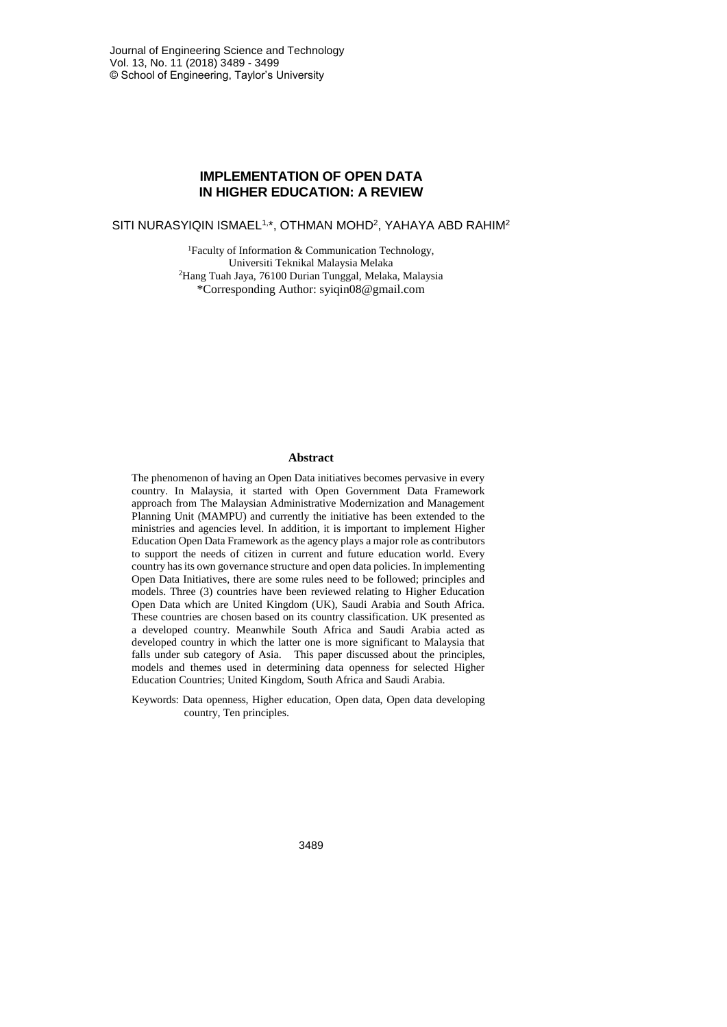# **IMPLEMENTATION OF OPEN DATA IN HIGHER EDUCATION: A REVIEW**

SITI NURASYIQIN ISMAEL1,\*, OTHMAN MOHD<sup>2</sup> , YAHAYA ABD RAHIM<sup>2</sup>

<sup>1</sup>Faculty of Information & Communication Technology, Universiti Teknikal Malaysia Melaka <sup>2</sup>Hang Tuah Jaya, 76100 Durian Tunggal, Melaka, Malaysia \*Corresponding Author: syiqin08@gmail.com

#### **Abstract**

The phenomenon of having an Open Data initiatives becomes pervasive in every country. In Malaysia, it started with Open Government Data Framework approach from The Malaysian Administrative Modernization and Management Planning Unit (MAMPU) and currently the initiative has been extended to the ministries and agencies level. In addition, it is important to implement Higher Education Open Data Framework as the agency plays a major role as contributors to support the needs of citizen in current and future education world. Every country has its own governance structure and open data policies. In implementing Open Data Initiatives, there are some rules need to be followed; principles and models. Three (3) countries have been reviewed relating to Higher Education Open Data which are United Kingdom (UK), Saudi Arabia and South Africa. These countries are chosen based on its country classification. UK presented as a developed country. Meanwhile South Africa and Saudi Arabia acted as developed country in which the latter one is more significant to Malaysia that falls under sub category of Asia. This paper discussed about the principles, models and themes used in determining data openness for selected Higher Education Countries; United Kingdom, South Africa and Saudi Arabia.

Keywords: Data openness, Higher education, Open data, Open data developing country, Ten principles.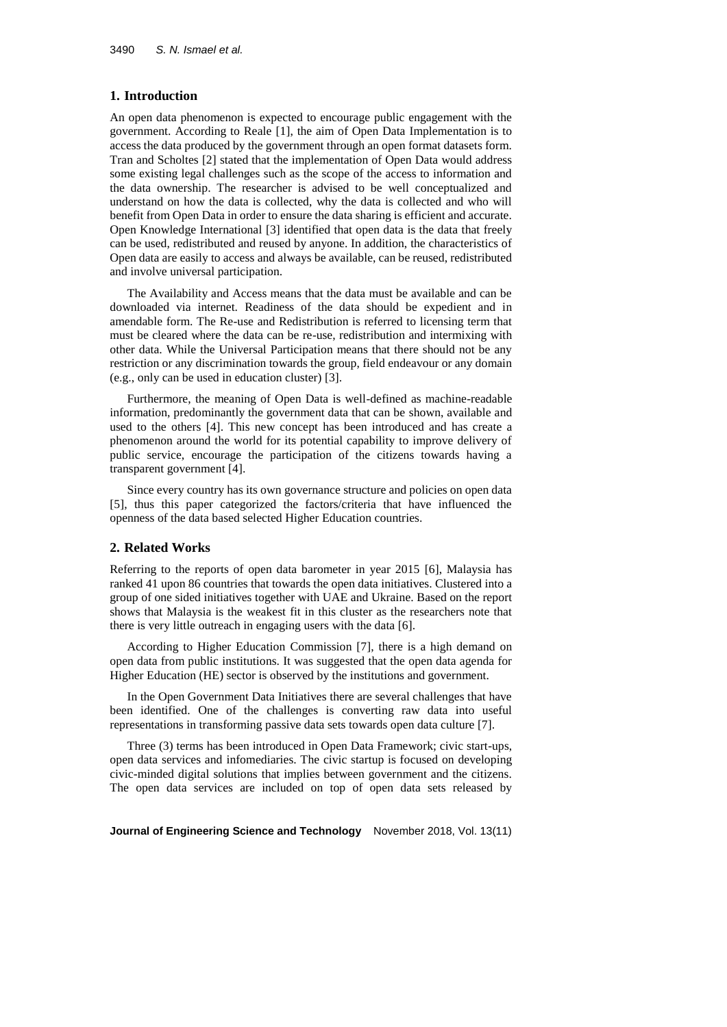#### **1. Introduction**

An open data phenomenon is expected to encourage public engagement with the government. According to Reale [1], the aim of Open Data Implementation is to access the data produced by the government through an open format datasets form. Tran and Scholtes [2] stated that the implementation of Open Data would address some existing legal challenges such as the scope of the access to information and the data ownership. The researcher is advised to be well conceptualized and understand on how the data is collected, why the data is collected and who will benefit from Open Data in order to ensure the data sharing is efficient and accurate. Open Knowledge International [3] identified that open data is the data that freely can be used, redistributed and reused by anyone. In addition, the characteristics of Open data are easily to access and always be available, can be reused, redistributed and involve universal participation.

The Availability and Access means that the data must be available and can be downloaded via internet. Readiness of the data should be expedient and in amendable form. The Re-use and Redistribution is referred to licensing term that must be cleared where the data can be re-use, redistribution and intermixing with other data. While the Universal Participation means that there should not be any restriction or any discrimination towards the group, field endeavour or any domain (e.g., only can be used in education cluster) [3].

Furthermore, the meaning of Open Data is well-defined as machine-readable information, predominantly the government data that can be shown, available and used to the others [4]. This new concept has been introduced and has create a phenomenon around the world for its potential capability to improve delivery of public service, encourage the participation of the citizens towards having a transparent government [4].

Since every country has its own governance structure and policies on open data [5], thus this paper categorized the factors/criteria that have influenced the openness of the data based selected Higher Education countries.

#### **2. Related Works**

Referring to the reports of open data barometer in year 2015 [6], Malaysia has ranked 41 upon 86 countries that towards the open data initiatives. Clustered into a group of one sided initiatives together with UAE and Ukraine. Based on the report shows that Malaysia is the weakest fit in this cluster as the researchers note that there is very little outreach in engaging users with the data [6].

According to Higher Education Commission [7], there is a high demand on open data from public institutions. It was suggested that the open data agenda for Higher Education (HE) sector is observed by the institutions and government.

In the Open Government Data Initiatives there are several challenges that have been identified. One of the challenges is converting raw data into useful representations in transforming passive data sets towards open data culture [7].

Three (3) terms has been introduced in Open Data Framework; civic start-ups, open data services and infomediaries. The civic startup is focused on developing civic-minded digital solutions that implies between government and the citizens. The open data services are included on top of open data sets released by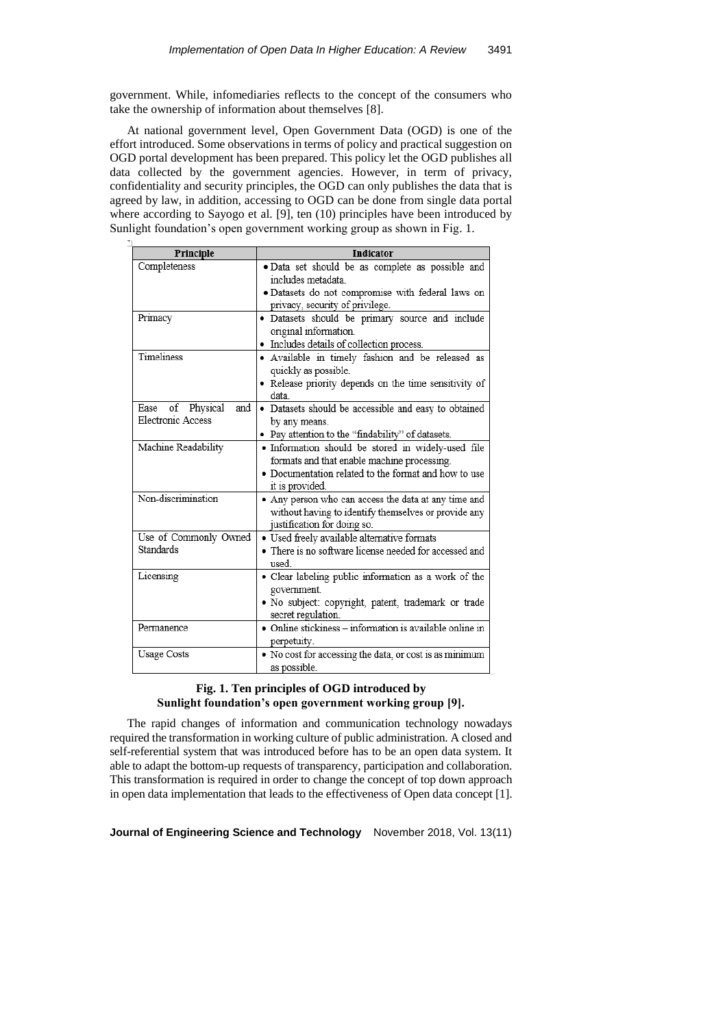government. While, infomediaries reflects to the concept of the consumers who take the ownership of information about themselves [8].

At national government level, Open Government Data (OGD) is one of the effort introduced. Some observations in terms of policy and practical suggestion on OGD portal development has been prepared. This policy let the OGD publishes all data collected by the government agencies. However, in term of privacy, confidentiality and security principles, the OGD can only publishes the data that is agreed by law, in addition, accessing to OGD can be done from single data portal where according to Sayogo et al. [9], ten (10) principles have been introduced by Sunlight foundation's open government working group as shown in Fig. 1.

| Principle                                              | <b>Indicator</b>                                                                                                                                                             |
|--------------------------------------------------------|------------------------------------------------------------------------------------------------------------------------------------------------------------------------------|
| Completeness                                           | · Data set should be as complete as possible and<br>includes metadata                                                                                                        |
|                                                        | · Datasets do not compromise with federal laws on<br>privacy, security of privilege.                                                                                         |
| Primacy                                                | · Datasets should be primary source and include<br>original information.<br>• Includes details of collection process.                                                        |
| Timeliness                                             | · Available in timely fashion and be released as<br>quickly as possible.<br>• Release priority depends on the time sensitivity of<br>data                                    |
| of Physical<br>and<br>Ease<br><b>Electronic Access</b> | • Datasets should be accessible and easy to obtained<br>by any means.<br>• Pay attention to the "findability" of datasets.                                                   |
| Machine Readability                                    | · Information should be stored in widely-used file<br>formats and that enable machine processing.<br>• Documentation related to the format and how to use<br>it is provided. |
| Non-discrimination                                     | • Any person who can access the data at any time and<br>without having to identify themselves or provide any<br>justification for doing so.                                  |
| Use of Commonly Owned<br>Standards                     | · Used freely available alternative formats<br>• There is no software license needed for accessed and<br>used.                                                               |
| Licensing                                              | · Clear labeling public information as a work of the<br>government.<br>· No subject: copyright, patent, trademark or trade<br>secret regulation.                             |
| Permanence                                             | • Online stickiness - information is available online in<br>perpetuity.                                                                                                      |
| <b>Usage Costs</b>                                     | . No cost for accessing the data, or cost is as minimum<br>as possible.                                                                                                      |

# **Fig. 1. Ten principles of OGD introduced by Sunlight foundation's open government working group [9].**

The rapid changes of information and communication technology nowadays required the transformation in working culture of public administration. A closed and self-referential system that was introduced before has to be an open data system. It able to adapt the bottom-up requests of transparency, participation and collaboration. This transformation is required in order to change the concept of top down approach in open data implementation that leads to the effectiveness of Open data concept [1].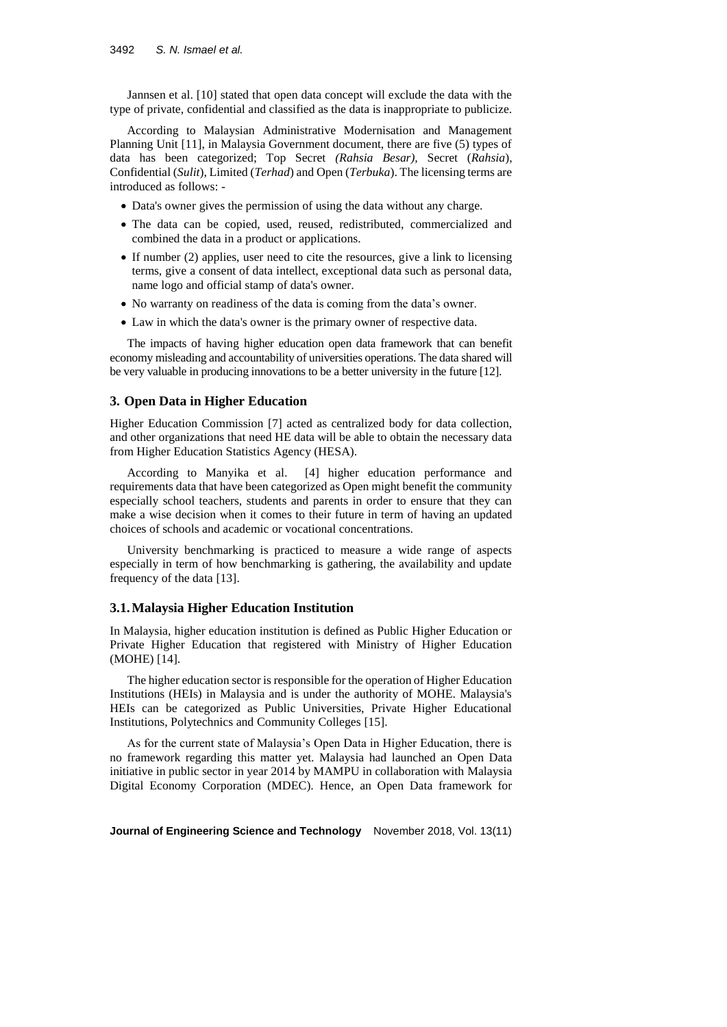Jannsen et al. [10] stated that open data concept will exclude the data with the type of private, confidential and classified as the data is inappropriate to publicize.

According to Malaysian Administrative Modernisation and Management Planning Unit [11], in Malaysia Government document, there are five (5) types of data has been categorized; Top Secret *(Rahsia Besar),* Secret (*Rahsia*), Confidential (*Sulit*), Limited (*Terhad*) and Open (*Terbuka*). The licensing terms are introduced as follows: -

- Data's owner gives the permission of using the data without any charge.
- The data can be copied, used, reused, redistributed, commercialized and combined the data in a product or applications.
- If number (2) applies, user need to cite the resources, give a link to licensing terms, give a consent of data intellect, exceptional data such as personal data, name logo and official stamp of data's owner.
- No warranty on readiness of the data is coming from the data's owner.
- Law in which the data's owner is the primary owner of respective data.

The impacts of having higher education open data framework that can benefit economy misleading and accountability of universities operations. The data shared will be very valuable in producing innovations to be a better university in the future [12].

### **3. Open Data in Higher Education**

Higher Education Commission [7] acted as centralized body for data collection, and other organizations that need HE data will be able to obtain the necessary data from Higher Education Statistics Agency (HESA).

According to Manyika et al. [4] higher education performance and requirements data that have been categorized as Open might benefit the community especially school teachers, students and parents in order to ensure that they can make a wise decision when it comes to their future in term of having an updated choices of schools and academic or vocational concentrations.

University benchmarking is practiced to measure a wide range of aspects especially in term of how benchmarking is gathering, the availability and update frequency of the data [13].

#### **3.1.Malaysia Higher Education Institution**

In Malaysia, higher education institution is defined as Public Higher Education or Private Higher Education that registered with Ministry of Higher Education (MOHE) [14].

The higher education sector is responsible for the operation of Higher Education Institutions (HEIs) in Malaysia and is under the authority of MOHE. Malaysia's HEIs can be categorized as Public Universities, Private Higher Educational Institutions, Polytechnics and Community Colleges [15].

As for the current state of Malaysia's Open Data in Higher Education, there is no framework regarding this matter yet. Malaysia had launched an Open Data initiative in public sector in year 2014 by MAMPU in collaboration with Malaysia Digital Economy Corporation (MDEC). Hence, an Open Data framework for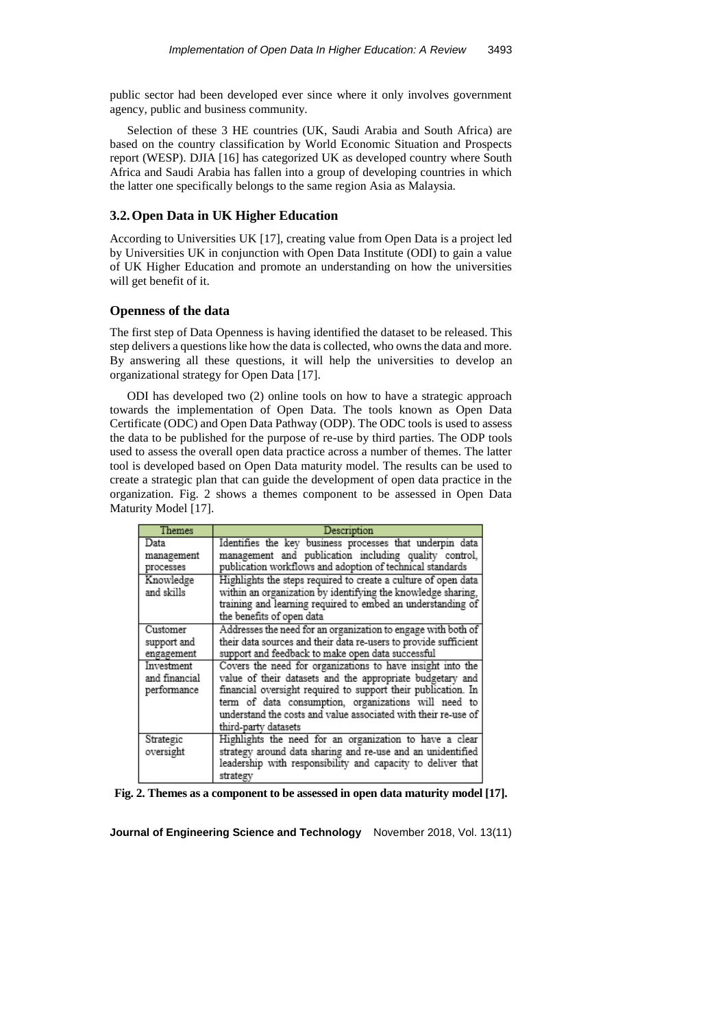public sector had been developed ever since where it only involves government agency, public and business community.

Selection of these 3 HE countries (UK, Saudi Arabia and South Africa) are based on the country classification by World Economic Situation and Prospects report (WESP). DJIA [16] has categorized UK as developed country where South Africa and Saudi Arabia has fallen into a group of developing countries in which the latter one specifically belongs to the same region Asia as Malaysia.

### **3.2.Open Data in UK Higher Education**

According to Universities UK [17], creating value from Open Data is a project led by Universities UK in conjunction with Open Data Institute (ODI) to gain a value of UK Higher Education and promote an understanding on how the universities will get benefit of it.

#### **Openness of the data**

The first step of Data Openness is having identified the dataset to be released. This step delivers a questions like how the data is collected, who owns the data and more. By answering all these questions, it will help the universities to develop an organizational strategy for Open Data [17].

ODI has developed two (2) online tools on how to have a strategic approach towards the implementation of Open Data. The tools known as Open Data Certificate (ODC) and Open Data Pathway (ODP). The ODC tools is used to assess the data to be published for the purpose of re-use by third parties. The ODP tools used to assess the overall open data practice across a number of themes. The latter tool is developed based on Open Data maturity model. The results can be used to create a strategic plan that can guide the development of open data practice in the organization. Fig. 2 shows a themes component to be assessed in Open Data Maturity Model [17].

| Themes                                     | Description                                                                                                                                                                                                                                                                                                                                |
|--------------------------------------------|--------------------------------------------------------------------------------------------------------------------------------------------------------------------------------------------------------------------------------------------------------------------------------------------------------------------------------------------|
| Data<br>management<br>processes            | Identifies the key business processes that underpin data<br>management and publication including quality control,<br>publication workflows and adoption of technical standards                                                                                                                                                             |
| Knowledge<br>and skills                    | Highlights the steps required to create a culture of open data<br>within an organization by identifying the knowledge sharing,<br>training and learning required to embed an understanding of<br>the benefits of open data                                                                                                                 |
| Customer<br>support and<br>engagement      | Addresses the need for an organization to engage with both of<br>their data sources and their data re-users to provide sufficient<br>support and feedback to make open data successful                                                                                                                                                     |
| Investment<br>and financial<br>performance | Covers the need for organizations to have insight into the<br>value of their datasets and the appropriate budgetary and<br>financial oversight required to support their publication. In<br>term of data consumption, organizations will need to<br>understand the costs and value associated with their re-use of<br>third-party datasets |
| Strategic<br>oversight                     | Highlights the need for an organization to have a clear<br>strategy around data sharing and re-use and an unidentified<br>leadership with responsibility and capacity to deliver that<br>strategy                                                                                                                                          |

**Fig. 2. Themes as a component to be assessed in open data maturity model [17].**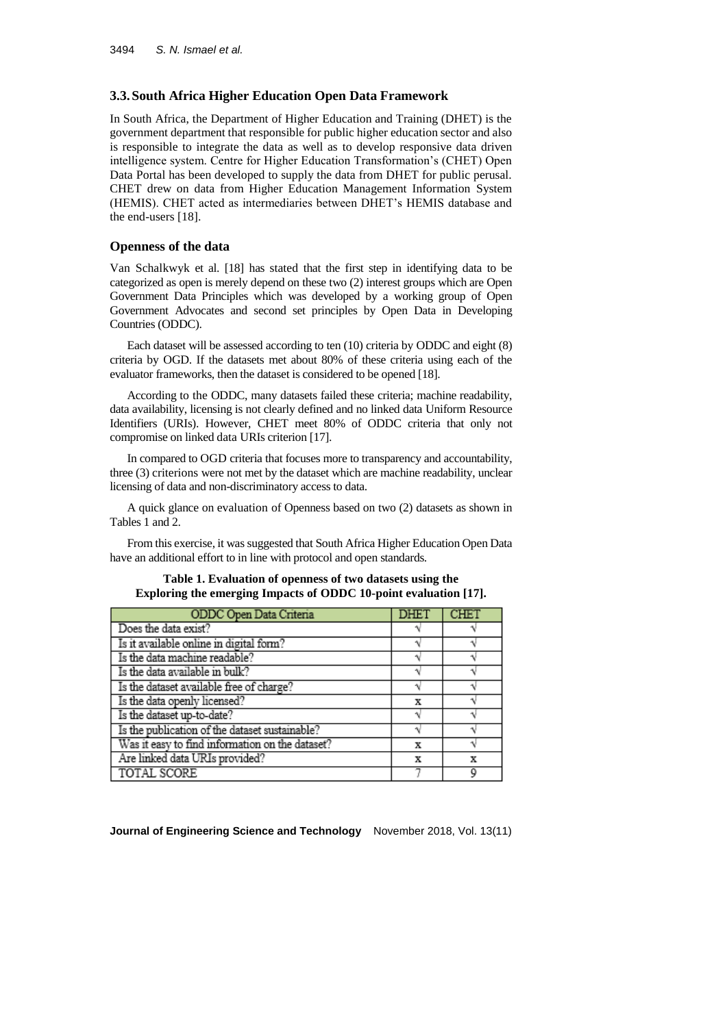### **3.3.South Africa Higher Education Open Data Framework**

In South Africa, the Department of Higher Education and Training (DHET) is the government department that responsible for public higher education sector and also is responsible to integrate the data as well as to develop responsive data driven intelligence system. Centre for Higher Education Transformation's (CHET) Open Data Portal has been developed to supply the data from DHET for public perusal. CHET drew on data from Higher Education Management Information System (HEMIS). CHET acted as intermediaries between DHET's HEMIS database and the end-users [18].

#### **Openness of the data**

Van Schalkwyk et al. [18] has stated that the first step in identifying data to be categorized as open is merely depend on these two (2) interest groups which are Open Government Data Principles which was developed by a working group of Open Government Advocates and second set principles by Open Data in Developing Countries (ODDC).

Each dataset will be assessed according to ten (10) criteria by ODDC and eight (8) criteria by OGD. If the datasets met about 80% of these criteria using each of the evaluator frameworks, then the dataset is considered to be opened [18].

According to the ODDC, many datasets failed these criteria; machine readability, data availability, licensing is not clearly defined and no linked data Uniform Resource Identifiers (URIs). However, CHET meet 80% of ODDC criteria that only not compromise on linked data URIs criterion [17].

In compared to OGD criteria that focuses more to transparency and accountability, three (3) criterions were not met by the dataset which are machine readability, unclear licensing of data and non-discriminatory access to data.

A quick glance on evaluation of Openness based on two (2) datasets as shown in Tables 1 and 2.

From this exercise, it was suggested that South Africa Higher Education Open Data have an additional effort to in line with protocol and open standards.

### **Table 1. Evaluation of openness of two datasets using the Exploring the emerging Impacts of ODDC 10-point evaluation [17].**

| ODDC Open Data Criteria                         | DHET | CHET |
|-------------------------------------------------|------|------|
| Does the data exist?                            |      |      |
| Is it available online in digital form?         |      |      |
| Is the data machine readable?                   |      |      |
| Is the data available in bulk?                  |      |      |
| Is the dataset available free of charge?        |      |      |
| Is the data openly licensed?                    | x    |      |
| Is the dataset up-to-date?                      |      |      |
| Is the publication of the dataset sustainable?  |      |      |
| Was it easy to find information on the dataset? |      |      |
| Are linked data URIs provided?                  | x    | x    |
| TOTAL SCORE                                     |      |      |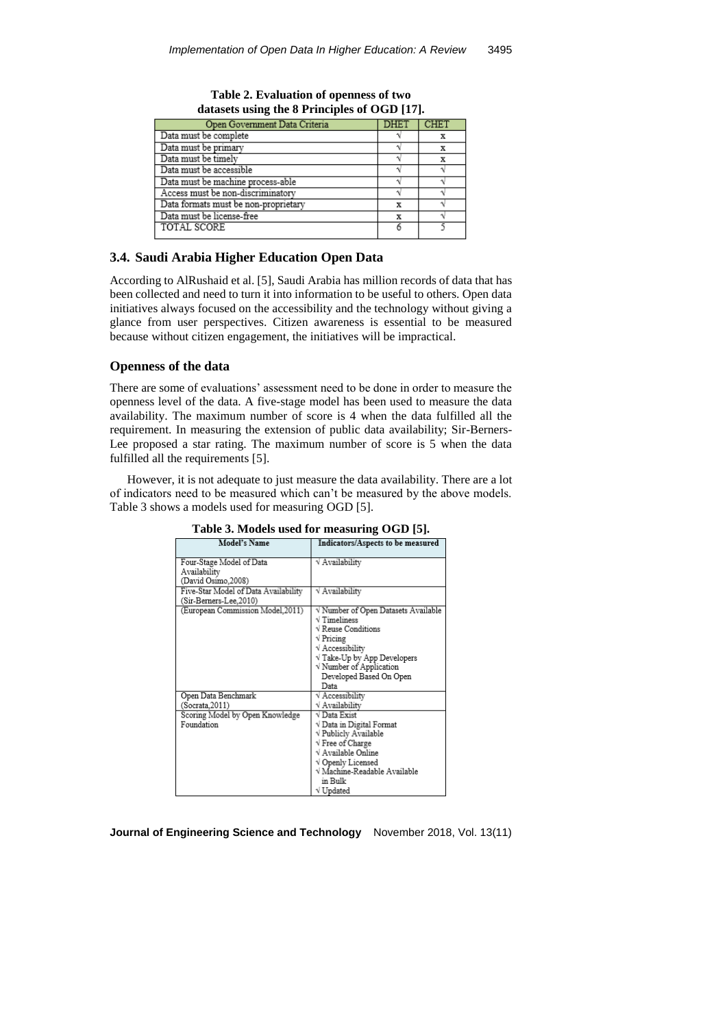| Open Government Data Criteria        | DHET | CHE <sup>®</sup> |
|--------------------------------------|------|------------------|
| Data must be complete                |      |                  |
| Data must be primary                 |      |                  |
| Data must be timely                  |      |                  |
| Data must be accessible              |      |                  |
| Data must be machine process-able    |      |                  |
| Access must be non-discriminatory    |      |                  |
| Data formats must be non-proprietary |      |                  |
| Data must be license-free            | х    |                  |
| TOTAL SCORE                          |      |                  |

**Table 2. Evaluation of openness of two datasets using the 8 Principles of OGD [17].**

### **3.4. Saudi Arabia Higher Education Open Data**

According to AlRushaid et al. [5], Saudi Arabia has million records of data that has been collected and need to turn it into information to be useful to others. Open data initiatives always focused on the accessibility and the technology without giving a glance from user perspectives. Citizen awareness is essential to be measured because without citizen engagement, the initiatives will be impractical.

# **Openness of the data**

There are some of evaluations' assessment need to be done in order to measure the openness level of the data. A five-stage model has been used to measure the data availability. The maximum number of score is 4 when the data fulfilled all the requirement. In measuring the extension of public data availability; Sir-Berners-Lee proposed a star rating. The maximum number of score is 5 when the data fulfilled all the requirements [5].

However, it is not adequate to just measure the data availability. There are a lot of indicators need to be measured which can't be measured by the above models. Table 3 shows a models used for measuring OGD [5].

| <b>Model's Name</b>                  | Indicators/Aspects to be measured   |
|--------------------------------------|-------------------------------------|
| Four-Stage Model of Data             | √ Availability                      |
| Availability                         |                                     |
| (David Osimo.2008)                   |                                     |
| Five-Star Model of Data Availability | √ Availability                      |
| (Sir-Berners-Lee,2010)               |                                     |
| (European Commission Model, 2011)    | V Number of Open Datasets Available |
|                                      | $\sqrt{T}$ imeliness                |
|                                      | √ Reuse Conditions                  |
|                                      | $\sqrt{\frac{P}{T}}$                |
|                                      | √ Accessibility                     |
|                                      | $\sqrt{T}$ ake-Up by App Developers |
|                                      | V Number of Application             |
|                                      | Developed Based On Open             |
|                                      | Data                                |
| Open Data Benchmark                  | V Accessibility                     |
| (Socrata, 2011)                      | √ Availability                      |
| Scoring Model by Open Knowledge      | √ Data Exist                        |
| Foundation                           | V Data in Digital Format            |
|                                      | V Publicly Available                |
|                                      | √ Free of Charge                    |
|                                      | √ Available Online                  |
|                                      | √ Openly Licensed                   |
|                                      | √ Machine-Readable Available        |
|                                      | in Bulk                             |
|                                      | √ Updated                           |

**Table 3. Models used for measuring OGD [5].**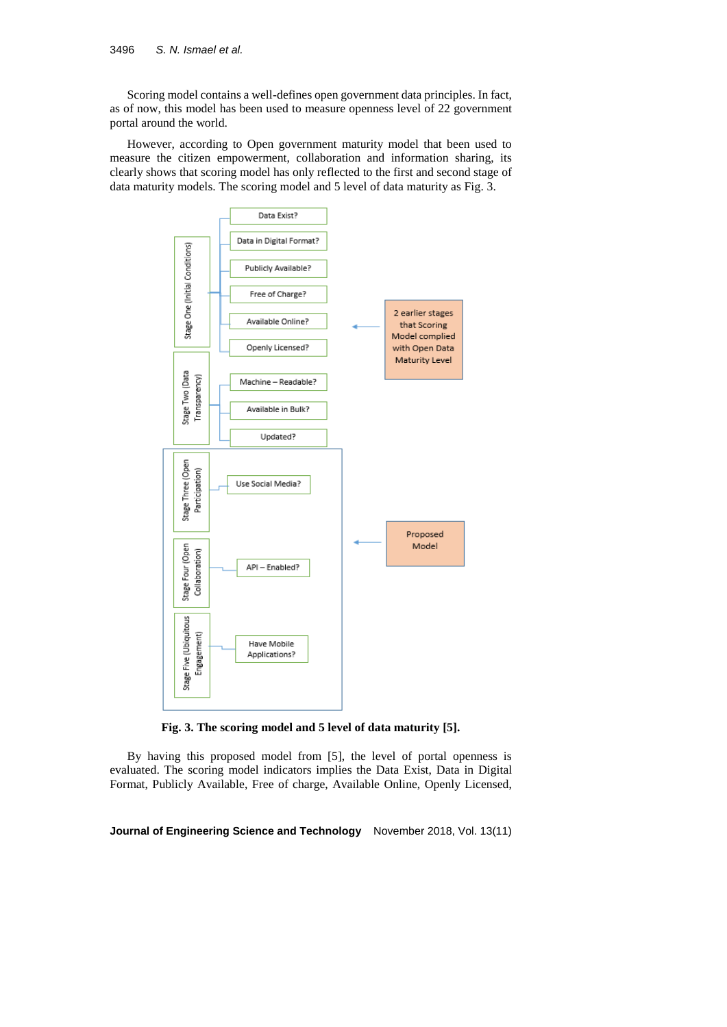Scoring model contains a well-defines open government data principles. In fact, as of now, this model has been used to measure openness level of 22 government portal around the world.

However, according to Open government maturity model that been used to measure the citizen empowerment, collaboration and information sharing, its clearly shows that scoring model has only reflected to the first and second stage of data maturity models. The scoring model and 5 level of data maturity as Fig. 3.



**Fig. 3. The scoring model and 5 level of data maturity [5].**

By having this proposed model from [5], the level of portal openness is evaluated. The scoring model indicators implies the Data Exist, Data in Digital Format, Publicly Available, Free of charge, Available Online, Openly Licensed,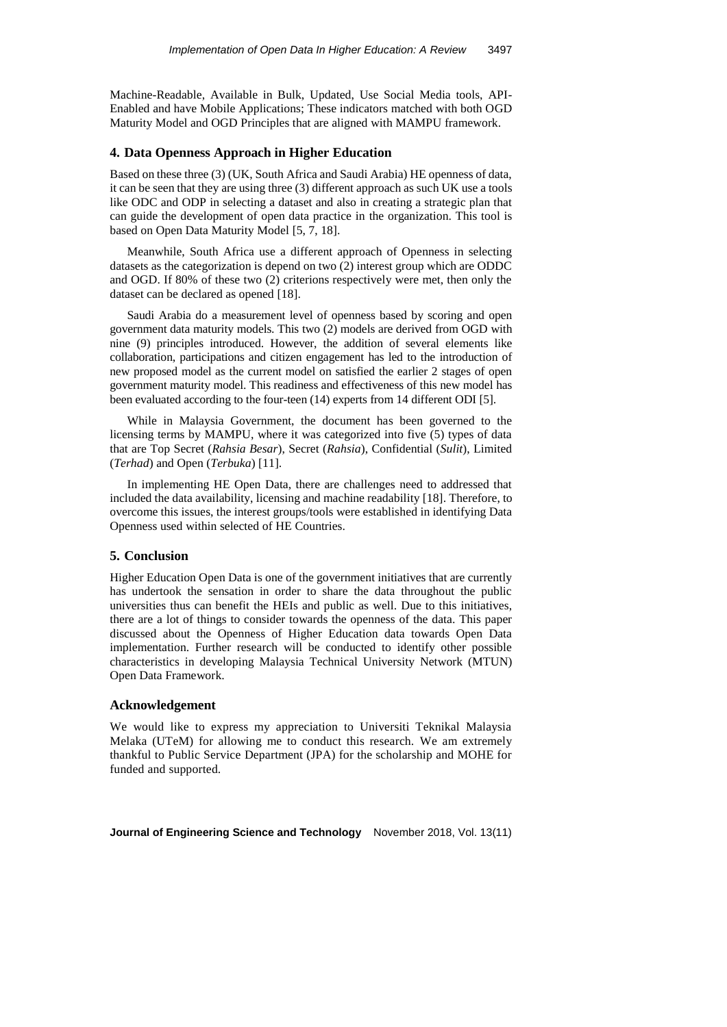Machine-Readable, Available in Bulk, Updated, Use Social Media tools, API-Enabled and have Mobile Applications; These indicators matched with both OGD Maturity Model and OGD Principles that are aligned with MAMPU framework.

### **4. Data Openness Approach in Higher Education**

Based on these three (3) (UK, South Africa and Saudi Arabia) HE openness of data, it can be seen that they are using three (3) different approach as such UK use a tools like ODC and ODP in selecting a dataset and also in creating a strategic plan that can guide the development of open data practice in the organization. This tool is based on Open Data Maturity Model [5, 7, 18].

Meanwhile, South Africa use a different approach of Openness in selecting datasets as the categorization is depend on two (2) interest group which are ODDC and OGD. If 80% of these two (2) criterions respectively were met, then only the dataset can be declared as opened [18].

Saudi Arabia do a measurement level of openness based by scoring and open government data maturity models. This two (2) models are derived from OGD with nine (9) principles introduced. However, the addition of several elements like collaboration, participations and citizen engagement has led to the introduction of new proposed model as the current model on satisfied the earlier 2 stages of open government maturity model. This readiness and effectiveness of this new model has been evaluated according to the four-teen (14) experts from 14 different ODI [5].

While in Malaysia Government, the document has been governed to the licensing terms by MAMPU, where it was categorized into five (5) types of data that are Top Secret (*Rahsia Besar*), Secret (*Rahsia*), Confidential (*Sulit*), Limited (*Terhad*) and Open (*Terbuka*) [11].

In implementing HE Open Data, there are challenges need to addressed that included the data availability, licensing and machine readability [18]. Therefore, to overcome this issues, the interest groups/tools were established in identifying Data Openness used within selected of HE Countries.

#### **5. Conclusion**

Higher Education Open Data is one of the government initiatives that are currently has undertook the sensation in order to share the data throughout the public universities thus can benefit the HEIs and public as well. Due to this initiatives, there are a lot of things to consider towards the openness of the data. This paper discussed about the Openness of Higher Education data towards Open Data implementation. Further research will be conducted to identify other possible characteristics in developing Malaysia Technical University Network (MTUN) Open Data Framework.

#### **Acknowledgement**

We would like to express my appreciation to Universiti Teknikal Malaysia Melaka (UTeM) for allowing me to conduct this research. We am extremely thankful to Public Service Department (JPA) for the scholarship and MOHE for funded and supported.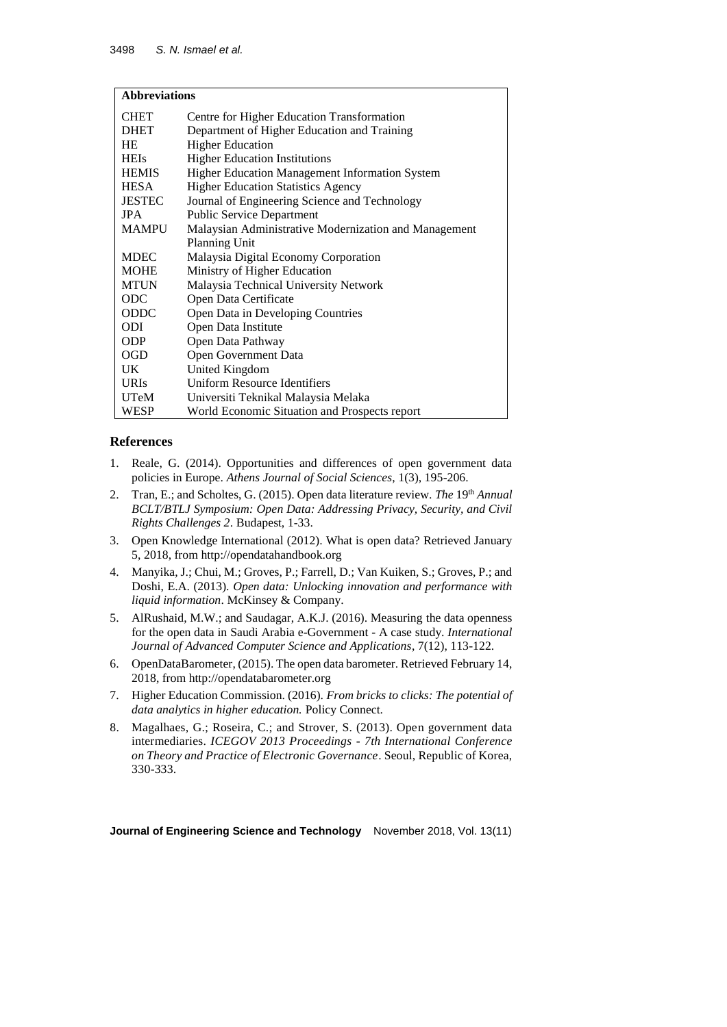| <b>Abbreviations</b> |                                                       |  |  |  |
|----------------------|-------------------------------------------------------|--|--|--|
| <b>CHET</b>          | Centre for Higher Education Transformation            |  |  |  |
| <b>DHET</b>          | Department of Higher Education and Training           |  |  |  |
| <b>HE</b>            | <b>Higher Education</b>                               |  |  |  |
| <b>HEIs</b>          | <b>Higher Education Institutions</b>                  |  |  |  |
| <b>HEMIS</b>         | Higher Education Management Information System        |  |  |  |
| <b>HESA</b>          | <b>Higher Education Statistics Agency</b>             |  |  |  |
| <b>JESTEC</b>        | Journal of Engineering Science and Technology         |  |  |  |
| <b>IPA</b>           | <b>Public Service Department</b>                      |  |  |  |
| <b>MAMPU</b>         | Malaysian Administrative Modernization and Management |  |  |  |
|                      | Planning Unit                                         |  |  |  |
| <b>MDEC</b>          | Malaysia Digital Economy Corporation                  |  |  |  |
| MOHE                 | Ministry of Higher Education                          |  |  |  |
| <b>MTUN</b>          | Malaysia Technical University Network                 |  |  |  |
| <b>ODC</b>           | Open Data Certificate                                 |  |  |  |
| <b>ODDC</b>          | Open Data in Developing Countries                     |  |  |  |
| <b>ODI</b>           | Open Data Institute                                   |  |  |  |
| ODP                  | Open Data Pathway                                     |  |  |  |
| <b>OGD</b>           | Open Government Data                                  |  |  |  |
| UK.                  | United Kingdom                                        |  |  |  |
| <b>URIs</b>          | <b>Uniform Resource Identifiers</b>                   |  |  |  |
| UTeM                 | Universiti Teknikal Malaysia Melaka                   |  |  |  |
| WESP                 | World Economic Situation and Prospects report         |  |  |  |

# **References**

- 1. Reale, G. (2014). Opportunities and differences of open government data policies in Europe. *Athens Journal of Social Sciences*, 1(3), 195-206.
- 2. Tran, E.; and Scholtes, G. (2015). Open data literature review. *The* 19th *Annual BCLT/BTLJ Symposium: Open Data: Addressing Privacy, Security, and Civil Rights Challenges 2*. Budapest, 1-33.
- 3. Open Knowledge International (2012). What is open data? Retrieved January 5, 2018, from [http://opendatahandbook.org](http://opendatahandbook.org/)
- 4. Manyika, J.; Chui, M.; Groves, P.; Farrell, D.; Van Kuiken, S.; Groves, P.; and Doshi, E.A. (2013). *Open data: Unlocking innovation and performance with liquid information*. McKinsey & Company.
- 5. AlRushaid, M.W.; and Saudagar, A.K.J. (2016). Measuring the data openness for the open data in Saudi Arabia e-Government - A case study. *International Journal of Advanced Computer Science and Applications*, 7(12), 113-122.
- 6. OpenDataBarometer, (2015). The open data barometer. Retrieved February 14, 2018, from [http://opendatabarometer.org](http://opendatabarometer.org/)
- 7. Higher Education Commission. (2016). *From bricks to clicks: The potential of data analytics in higher education.* Policy Connect.
- 8. Magalhaes, G.; Roseira, C.; and Strover, S. (2013). Open government data intermediaries. *ICEGOV 2013 Proceedings - 7th International Conference on Theory and Practice of Electronic Governance*. Seoul, Republic of Korea, 330-333.